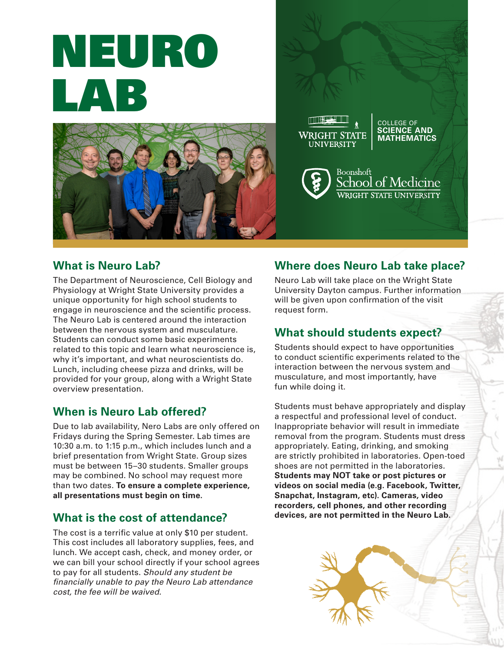





#### **What is Neuro Lab?**

The Department of Neuroscience, Cell Biology and Physiology at Wright State University provides a unique opportunity for high school students to engage in neuroscience and the scientific process. The Neuro Lab is centered around the interaction between the nervous system and musculature. Students can conduct some basic experiments related to this topic and learn what neuroscience is, why it's important, and what neuroscientists do. Lunch, including cheese pizza and drinks, will be provided for your group, along with a Wright State overview presentation.

## **When is Neuro Lab offered?**

Due to lab availability, Nero Labs are only offered on Fridays during the Spring Semester. Lab times are 10:30 a.m. to 1:15 p.m., which includes lunch and a brief presentation from Wright State. Group sizes must be between 15–30 students. Smaller groups may be combined. No school may request more than two dates. **To ensure a complete experience, all presentations must begin on time.**

#### **What is the cost of attendance?**

The cost is a terrific value at only \$10 per student. This cost includes all laboratory supplies, fees, and lunch. We accept cash, check, and money order, or we can bill your school directly if your school agrees to pay for all students. *Should any student be financially unable to pay the Neuro Lab attendance cost, the fee will be waived.*

# **Where does Neuro Lab take place?**

Neuro Lab will take place on the Wright State University Dayton campus. Further information will be given upon confirmation of the visit request form.

## **What should students expect?**

Students should expect to have opportunities to conduct scientific experiments related to the interaction between the nervous system and musculature, and most importantly, have fun while doing it.

Students must behave appropriately and display a respectful and professional level of conduct. Inappropriate behavior will result in immediate removal from the program. Students must dress appropriately. Eating, drinking, and smoking are strictly prohibited in laboratories. Open-toed shoes are not permitted in the laboratories. **Students may NOT take or post pictures or videos on social media (e.g. Facebook, Twitter, Snapchat, Instagram, etc). Cameras, video recorders, cell phones, and other recording devices, are not permitted in the Neuro Lab.**

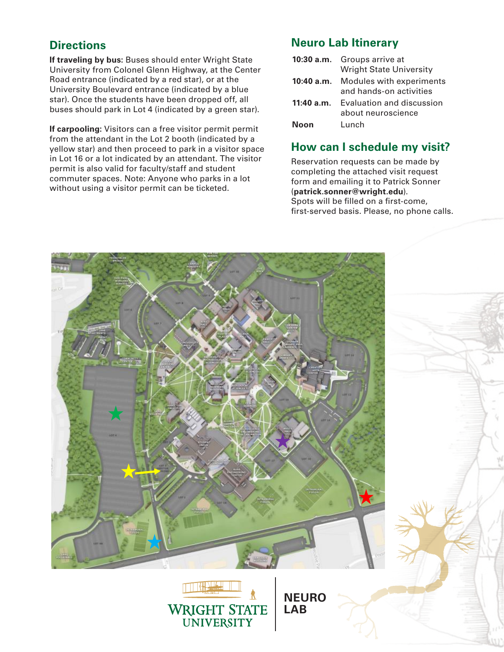## **Directions**

**If traveling by bus:** Buses should enter Wright State University from Colonel Glenn Highway, at the Center Road entrance (indicated by a red star), or at the University Boulevard entrance (indicated by a blue star). Once the students have been dropped off, all buses should park in Lot 4 (indicated by a green star).

**If carpooling:** Visitors can a free visitor permit permit from the attendant in the Lot 2 booth (indicated by a yellow star) and then proceed to park in a visitor space in Lot 16 or a lot indicated by an attendant. The visitor permit is also valid for faculty/staff and student commuter spaces. Note: Anyone who parks in a lot without using a visitor permit can be ticketed. (patrick.sonner@wrig

# **Neuro Lab Itinerary**

|              | 10:30 a.m. Groups arrive at<br><b>Wright State University</b> |
|--------------|---------------------------------------------------------------|
| $10:40$ a.m. | Modules with experiments<br>and hands-on activities           |
| $11:40$ a.m. | Evaluation and discussion<br>about neuroscience               |
| <b>Noon</b>  | Lunch                                                         |

#### **How can I schedule my visit?**

 $\rho_{\text{Sports}}$  Spots will be filled on a first-come, include your name, phone number, and school in your email. In your emails number, and school in your email. In Reservation requests can be made by completing the attached visit request form and emailing it to Patrick Sonner (**patrick.sonner@wright.edu**). first-served basis. Please, no phone calls.